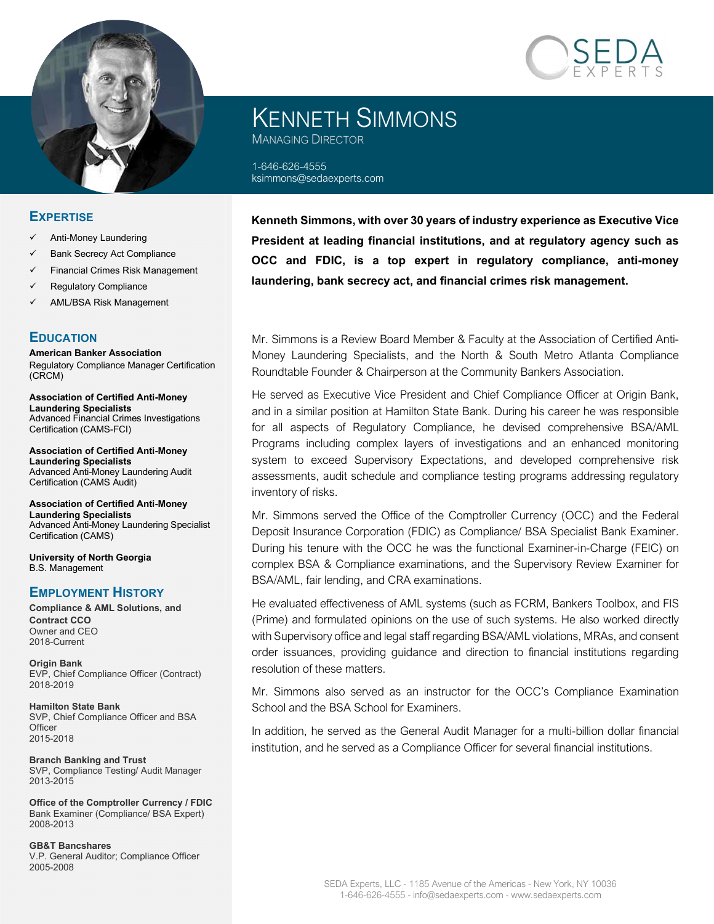



- Anti-Money Laundering
- $\checkmark$  Bank Secrecy Act Compliance
- Financial Crimes Risk Management
- Regulatory Compliance
- AML/BSA Risk Management

American Banker Association Regulatory Compliance Manager Certification (CRCM)

Association of Certified Anti-Money Laundering Specialists Advanced Financial Crimes Investigations Certification (CAMS-FCI)

Association of Certified Anti-Money Laundering Specialists Advanced Anti-Money Laundering Audit Certification (CAMS Audit)

Association of Certified Anti-Money Laundering Specialists Advanced Anti-Money Laundering Specialist Certification (CAMS)

University of North Georgia B.S. Management

### EMPLOYMENT HISTORY

Compliance & AML Solutions, and Contract CCO Owner and CEO 2018-Current

**Origin Bank** EVP, Chief Compliance Officer (Contract) 2018-2019

Hamilton State Bank SVP, Chief Compliance Officer and BSA **Officer** 2015-2018

Branch Banking and Trust SVP, Compliance Testing/ Audit Manager 2013-2015

Office of the Comptroller Currency / FDIC Bank Examiner (Compliance/ BSA Expert) 2008-2013

GB&T Bancshares V.P. General Auditor; Compliance Officer 2005-2008

# KENNETH SIMMONS

MANAGING DIRECTOR

1-646-626-4555 ksimmons@sedaexperts.com

EXPERTISE Kenneth Simmons, with over 30 years of industry experience as Executive Vice President at leading financial institutions, and at regulatory agency such as OCC and FDIC, is a top expert in regulatory compliance, anti-money laundering, bank secrecy act, and financial crimes risk management.

EDUCATION Mr. Simmons is a Review Board Member & Faculty at the Association of Certified Anti-Money Laundering Specialists, and the North & South Metro Atlanta Compliance Roundtable Founder & Chairperson at the Community Bankers Association.

> He served as Executive Vice President and Chief Compliance Officer at Origin Bank, and in a similar position at Hamilton State Bank. During his career he was responsible for all aspects of Regulatory Compliance, he devised comprehensive BSA/AML Programs including complex layers of investigations and an enhanced monitoring system to exceed Supervisory Expectations, and developed comprehensive risk assessments, audit schedule and compliance testing programs addressing regulatory inventory of risks.

> Mr. Simmons served the Office of the Comptroller Currency (OCC) and the Federal Deposit Insurance Corporation (FDIC) as Compliance/ BSA Specialist Bank Examiner. During his tenure with the OCC he was the functional Examiner-in-Charge (FEIC) on complex BSA & Compliance examinations, and the Supervisory Review Examiner for BSA/AML, fair lending, and CRA examinations.

> He evaluated effectiveness of AML systems (such as FCRM, Bankers Toolbox, and FIS (Prime) and formulated opinions on the use of such systems. He also worked directly with Supervisory office and legal staff regarding BSA/AML violations, MRAs, and consent order issuances, providing guidance and direction to financial institutions regarding resolution of these matters.

> Mr. Simmons also served as an instructor for the OCC's Compliance Examination School and the BSA School for Examiners.

> In addition, he served as the General Audit Manager for a multi-billion dollar financial institution, and he served as a Compliance Officer for several financial institutions.